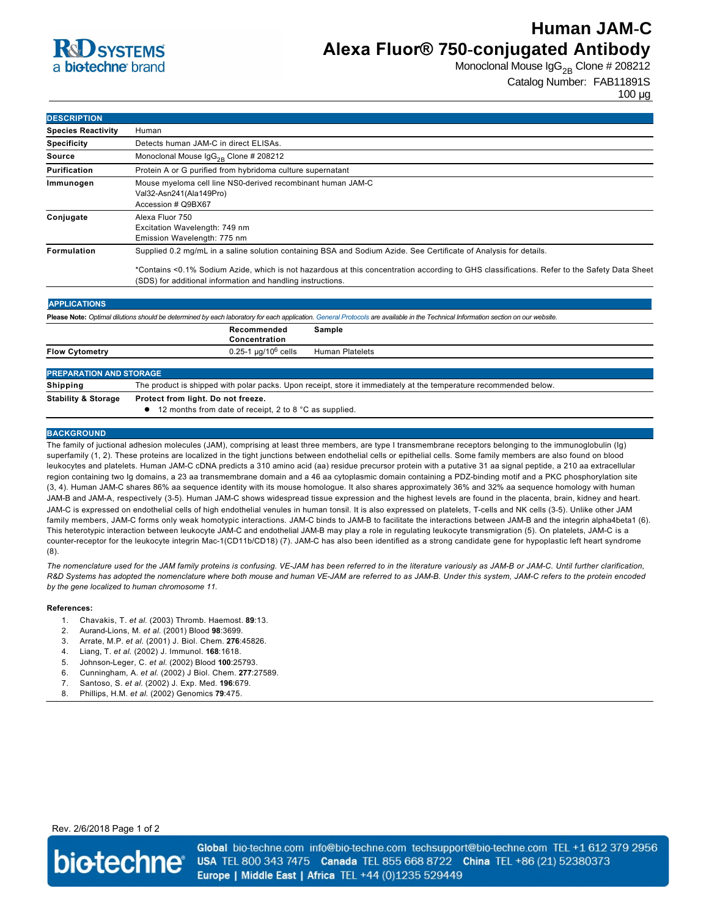### **R**CO SYSTEMS a **bio-techne** brand

# **Human JAM-C Alexa Fluor® 750-conjugated Antibody**

Monoclonal Mouse  $\log_{2B}$  Clone # 208212

Catalog Number: FAB11891S

100 µg

| <b>DESCRIPTION</b>        |                                                                                                                                             |
|---------------------------|---------------------------------------------------------------------------------------------------------------------------------------------|
| <b>Species Reactivity</b> | Human                                                                                                                                       |
| <b>Specificity</b>        | Detects human JAM-C in direct ELISAs.                                                                                                       |
| Source                    | Monoclonal Mouse $\lg G_{2R}$ Clone # 208212                                                                                                |
| Purification              | Protein A or G purified from hybridoma culture supernatant                                                                                  |
| Immunogen                 | Mouse myeloma cell line NS0-derived recombinant human JAM-C<br>Val32-Asn241(Ala149Pro)<br>Accession # Q9BX67                                |
| Conjugate                 | Alexa Fluor 750<br>Excitation Wavelength: 749 nm<br>Emission Wavelength: 775 nm                                                             |
| <b>Formulation</b>        | Supplied 0.2 mg/mL in a saline solution containing BSA and Sodium Azide. See Certificate of Analysis for details.                           |
|                           | *Containe <0.1% Sodium Azide, which is not bazardous at this concentration according to CHS classifications. Refer to the Safety Data Sheet |

\*Contains <0.1% Sodium Azide, which is not hazardous at this concentration according to GHS classifications. Refer to the Safety Data Sheet (SDS) for additional information and handling instructions.

#### **APPLICATIONS Please Note:** *Optimal dilutions should be determined by each laboratory for each application. [General Protocols](http://www.rndsystems.com/resources/protocols-troubleshooting-guides) are available in the Technical Information section on our website.* **Recommended Concentration Sample Flow Cytometry 1.25-1 µg/10<sup>6</sup> cells Human Platelets**

### **PREPARATION AND STORAGE Shipping** The product is shipped with polar packs. Upon receipt, store it immediately at the temperature recommended below **Stability & Storage Protect from light. Do not freeze.** ● 12 months from date of receipt, 2 to 8 °C as supplied.

#### **BACKGROUND**

The family of juctional adhesion molecules (JAM), comprising at least three members, are type I transmembrane receptors belonging to the immunoglobulin (Ig) superfamily (1, 2). These proteins are localized in the tight junctions between endothelial cells or epithelial cells. Some family members are also found on blood leukocytes and platelets. Human JAMC cDNA predicts a 310 amino acid (aa) residue precursor protein with a putative 31 aa signal peptide, a 210 aa extracellular region containing two Ig domains, a 23 aa transmembrane domain and a 46 aa cytoplasmic domain containing a PDZ-binding motif and a PKC phosphorylation site (3, 4). Human JAMC shares 86% aa sequence identity with its mouse homologue. It also shares approximately 36% and 32% aa sequence homology with human JAM-B and JAM-A, respectively (3-5). Human JAM-C shows widespread tissue expression and the highest levels are found in the placenta, brain, kidney and heart. JAMC is expressed on endothelial cells of high endothelial venules in human tonsil. It is also expressed on platelets, Tcells and NK cells (35). Unlike other JAM family members, JAM-C forms only weak homotypic interactions. JAM-C binds to JAM-B to facilitate the interactions between JAM-B and the integrin alpha4beta1 (6). This heterotypic interaction between leukocyte JAM-C and endothelial JAM-B may play a role in regulating leukocyte transmigration (5). On platelets, JAM-C is a counter-receptor for the leukocyte integrin Mac-1(CD11b/CD18) (7). JAM-C has also been identified as a strong candidate gene for hypoplastic left heart syndrome (8).

The nomenclature used for the JAM family proteins is confusing. VE-JAM has been referred to in the literature variously as JAM-B or JAM-C. Until further clarification, *R&D Systems has adopted the nomenclature where both mouse and human VEJAM are referred to as JAMB. Under this system, JAMC refers to the protein encoded by the gene localized to human chromosome 11.* 

#### **References:**

- 1. Chavakis, T. *et al*. (2003) Thromb. Haemost. **89**:13.
- 2. AurandLions, M. *et al*. (2001) Blood **98**:3699.
- 3. Arrate, M.P. *et al*. (2001) J. Biol. Chem. **276**:45826.
- 4. Liang, T. *et al*. (2002) J. Immunol. **168**:1618.
- 5. JohnsonLeger, C. *et al*. (2002) Blood **100**:25793.
- 6. Cunningham, A. *et al*. (2002) J Biol. Chem. **277**:27589.
- 7. Santoso, S. *et al*. (2002) J. Exp. Med. **196**:679.
- 8. Phillips, H.M. *et al*. (2002) Genomics **79**:475.

Rev. 2/6/2018 Page 1 of 2



Global bio-techne.com info@bio-techne.com techsupport@bio-techne.com TEL +1 612 379 2956 USA TEL 800 343 7475 Canada TEL 855 668 8722 China TEL +86 (21) 52380373 Europe | Middle East | Africa TEL +44 (0)1235 529449